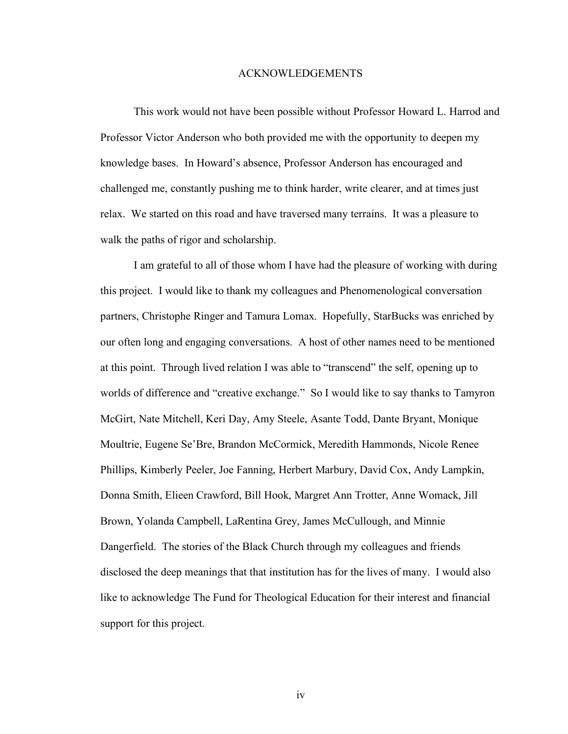## ACKNOWLEDGEMENTS

This work would not have been possible without Professor Howard L. Harrod and Professor Victor Anderson who both provided me with the opportunity to deepen my knowledge bases. In Howard's absence, Professor Anderson has encouraged and challenged me, constantly pushing me to think harder, write clearer, and at times just relax. We started on this road and have traversed many terrains. It was a pleasure to walk the paths of rigor and scholarship.

I am grateful to all of those whom I have had the pleasure of working with during this project. I would like to thank my colleagues and Phenomenological conversation partners, Christophe Ringer and Tamura Lomax. Hopefully, StarBucks was enriched by our often long and engaging conversations. A host of other names need to be mentioned at this point. Through lived relation I was able to "transcend" the self, opening up to worlds of difference and "creative exchange." So I would like to say thanks to Tamyron McGirt, Nate Mitchell, Keri Day, Amy Steele, Asante Todd, Dante Bryant, Monique Moultrie, Eugene Se'Bre, Brandon McCormick, Meredith Hammonds, Nicole Renee Phillips, Kimberly Peeler, Joe Fanning, Herbert Marbury, David Cox, Andy Lampkin, Donna Smith, Elieen Crawford, Bill Hook, Margret Ann Trotter, Anne Womack, Jill Brown, Yolanda Campbell, LaRentina Grey, James McCullough, and Minnie Dangerfield. The stories of the Black Church through my colleagues and friends disclosed the deep meanings that that institution has for the lives of many. I would also like to acknowledge The Fund for Theological Education for their interest and financial support for this project.

iv